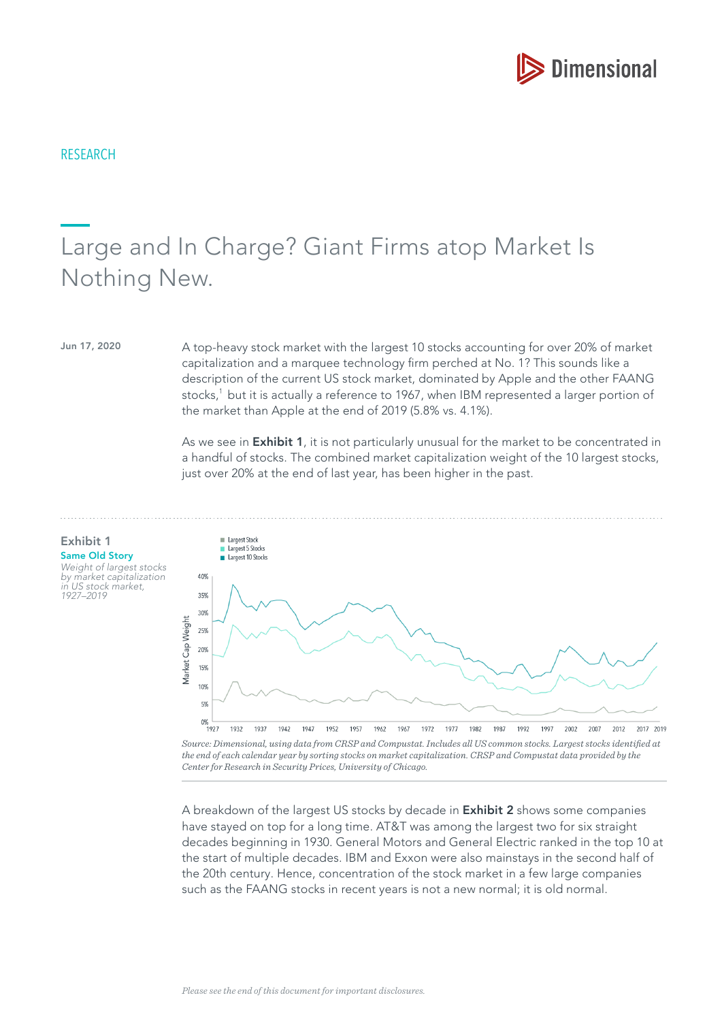

# Large and In Charge? Giant Firms atop Market Is Nothing New.

Jun 17, 2020 A top-heavy stock market with the largest 10 stocks accounting for over 20% of market capitalization and a marquee technology frm perched at No. 1? This sounds like a description of the current US stock market, dominated by Apple and the other FAANG stocks, $1$  but it is actually a reference to 1967, when IBM represented a larger portion of the market than Apple at the end of 2019 (5.8% vs. 4.1%).

> As we see in **Exhibit 1**, it is not particularly unusual for the market to be concentrated in a handful of stocks. The combined market capitalization weight of the 10 largest stocks, just over 20% at the end of last year, has been higher in the past.



*the end of each calendar year by sorting stocks on market capitalization. CRSP and Compustat data provided by the Center for Research in Security Prices, University of Chicago.*

A breakdown of the largest US stocks by decade in **Exhibit 2** shows some companies have stayed on top for a long time. AT&T was among the largest two for six straight decades beginning in 1930. General Motors and General Electric ranked in the top 10 at the start of multiple decades. IBM and Exxon were also mainstays in the second half of the 20th century. Hence, concentration of the stock market in a few large companies such as the FAANG stocks in recent years is not a new normal; it is old normal.

Same Old Story Weight of largest stocks by market capitalization in US stock market, 1927–2019

Exhibit 1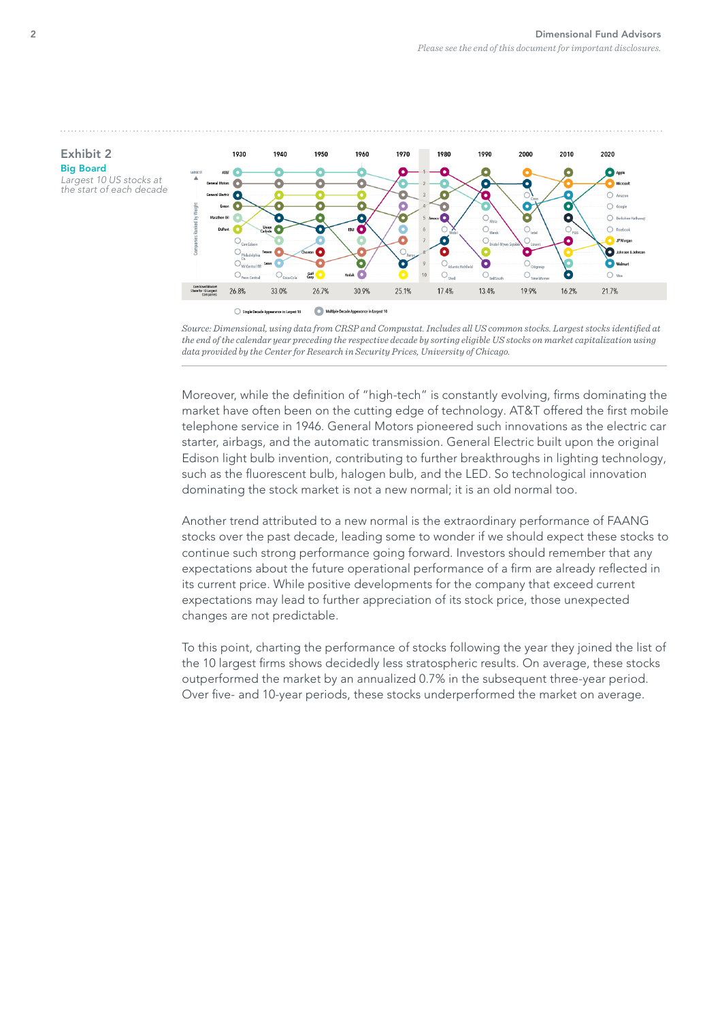



Moreover, while the definition of "high-tech" is constantly evolving, firms dominating the market have often been on the cutting edge of technology. AT&T offered the frst mobile telephone service in 1946. General Motors pioneered such innovations as the electric car starter, airbags, and the automatic transmission. General Electric built upon the original Edison light bulb invention, contributing to further breakthroughs in lighting technology, such as the fuorescent bulb, halogen bulb, and the LED. So technological innovation dominating the stock market is not a new normal; it is an old normal too.

Another trend attributed to a new normal is the extraordinary performance of FAANG stocks over the past decade, leading some to wonder if we should expect these stocks to continue such strong performance going forward. Investors should remember that any expectations about the future operational performance of a frm are already refected in its current price. While positive developments for the company that exceed current expectations may lead to further appreciation of its stock price, those unexpected changes are not predictable.

To this point, charting the performance of stocks following the year they joined the list of the 10 largest frms shows decidedly less stratospheric results. On average, these stocks outperformed the market by an annualized 0.7% in the subsequent three-year period. Over five- and 10-year periods, these stocks underperformed the market on average.

Exhibit 2 Big Board Largest 10 US stocks at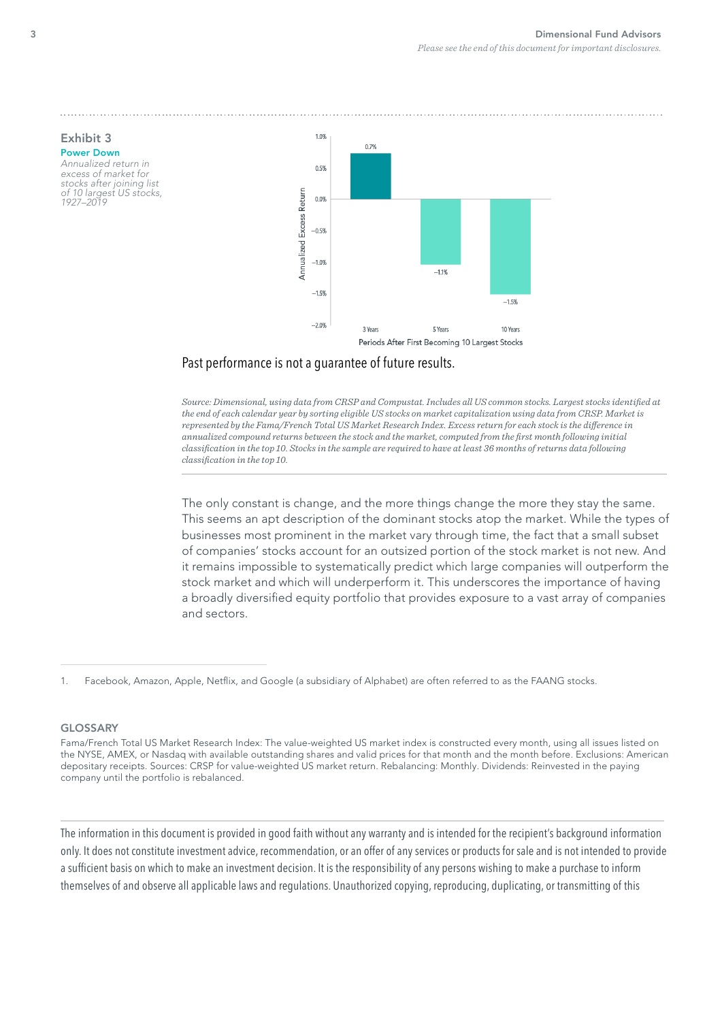

## Past performance is not a guarantee of future results.

*Source: Dimensional, using data from CRSP and Compustat. Includes all US common stocks. Largest stocks identifed at the end of each calendar year by sorting eligible US stocks on market capitalization using data from CRSP. Market is represented by the Fama/French Total US Market Research Index. Excess return for each stock is the diference in annualized compound returns between the stock and the market, computed from the frst month following initial classifcation in the top 10. Stocks in the sample are required to have at least 36 months of returns data following classifcation in the top 10.*

The only constant is change, and the more things change the more they stay the same. This seems an apt description of the dominant stocks atop the market. While the types of businesses most prominent in the market vary through time, the fact that a small subset of companies' stocks account for an outsized portion of the stock market is not new. And it remains impossible to systematically predict which large companies will outperform the stock market and which will underperform it. This underscores the importance of having a broadly diversifed equity portfolio that provides exposure to a vast array of companies and sectors.

#### GLOSSARY

The information in this document is provided in good faith without any warranty and is intended for the recipient's background information only. It does not constitute investment advice, recommendation, or an offer of any services or products for sale and is not intended to provide a suffcient basis on which to make an investment decision. It is the responsibility of any persons wishing to make a purchase to inform themselves of and observe all applicable laws and regulations. Unauthorized copying, reproducing, duplicating, or transmitting of this

## Exhibit 3 Power Down

Annualized return in excess of market for stocks after joining list of 10 largest US stocks, 1927–2019

<sup>1.</sup> Facebook, Amazon, Apple, Netfix, and Google (a subsidiary of Alphabet) are often referred to as the FAANG stocks.

Fama/French Total US Market Research Index: The value-weighted US market index is constructed every month, using all issues listed on the NYSE, AMEX, or Nasdaq with available outstanding shares and valid prices for that month and the month before. Exclusions: American depositary receipts. Sources: CRSP for value-weighted US market return. Rebalancing: Monthly. Dividends: Reinvested in the paying company until the portfolio is rebalanced.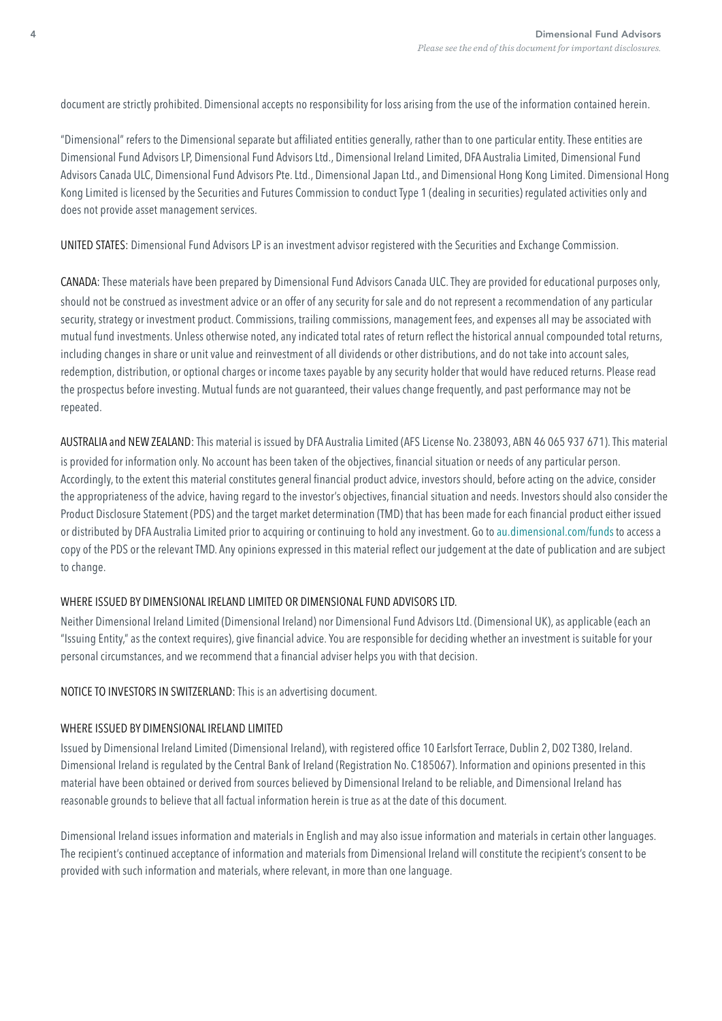document are strictly prohibited. Dimensional accepts no responsibility for loss arising from the use of the information contained herein.

"Dimensional" refers to the Dimensional separate but affliated entities generally, rather than to one particular entity. These entities are Dimensional Fund Advisors LP, Dimensional Fund Advisors Ltd., Dimensional Ireland Limited, DFA Australia Limited, Dimensional Fund Advisors Canada ULC, Dimensional Fund Advisors Pte. Ltd., Dimensional Japan Ltd., and Dimensional Hong Kong Limited. Dimensional Hong Kong Limited is licensed by the Securities and Futures Commission to conduct Type 1 (dealing in securities) regulated activities only and does not provide asset management services.

UNITED STATES: Dimensional Fund Advisors LP is an investment advisor registered with the Securities and Exchange Commission.

CANADA: These materials have been prepared by Dimensional Fund Advisors Canada ULC. They are provided for educational purposes only, should not be construed as investment advice or an offer of any security for sale and do not represent a recommendation of any particular security, strategy or investment product. Commissions, trailing commissions, management fees, and expenses all may be associated with mutual fund investments. Unless otherwise noted, any indicated total rates of return refect the historical annual compounded total returns, including changes in share or unit value and reinvestment of all dividends or other distributions, and do not take into account sales, redemption, distribution, or optional charges or income taxes payable by any security holder that would have reduced returns. Please read the prospectus before investing. Mutual funds are not guaranteed, their values change frequently, and past performance may not be repeated.

AUSTRALIA and NEW ZEALAND: This material is issued by DFA Australia Limited (AFS License No. 238093, ABN 46 065 937 671). This material is provided for information only. No account has been taken of the objectives, fnancial situation or needs of any particular person. Accordingly, to the extent this material constitutes general fnancial product advice, investors should, before acting on the advice, consider the appropriateness of the advice, having regard to the investor's objectives, fnancial situation and needs. Investors should also consider the Product Disclosure Statement (PDS) and the target market determination (TMD) that has been made for each fnancial product either issued or distributed by DFA Australia Limited prior to acquiring or continuing to hold any investment. Go to [au.dimensional.com/funds](https://au.dimensional.com/funds) to access a copy of the PDS or the relevant TMD. Any opinions expressed in this material refect our judgement at the date of publication and are subject to change.

#### WHERE ISSUED BY DIMENSIONAL IRELAND LIMITED OR DIMENSIONAL FUND ADVISORS LTD.

Neither Dimensional Ireland Limited (Dimensional Ireland) nor Dimensional Fund Advisors Ltd. (Dimensional UK), as applicable (each an "Issuing Entity," as the context requires), give fnancial advice. You are responsible for deciding whether an investment is suitable for your personal circumstances, and we recommend that a fnancial adviser helps you with that decision.

NOTICE TO INVESTORS IN SWITZERLAND: This is an advertising document.

#### WHERE ISSUED BY DIMENSIONAL IRELAND LIMITED

Issued by Dimensional Ireland Limited (Dimensional Ireland), with registered office 10 Earlsfort Terrace, Dublin 2, D02 T380, Ireland. Dimensional Ireland is regulated by the Central Bank of Ireland (Registration No. C185067). Information and opinions presented in this material have been obtained or derived from sources believed by Dimensional Ireland to be reliable, and Dimensional Ireland has reasonable grounds to believe that all factual information herein is true as at the date of this document.

Dimensional Ireland issues information and materials in English and may also issue information and materials in certain other languages. The recipient's continued acceptance of information and materials from Dimensional Ireland will constitute the recipient's consent to be provided with such information and materials, where relevant, in more than one language.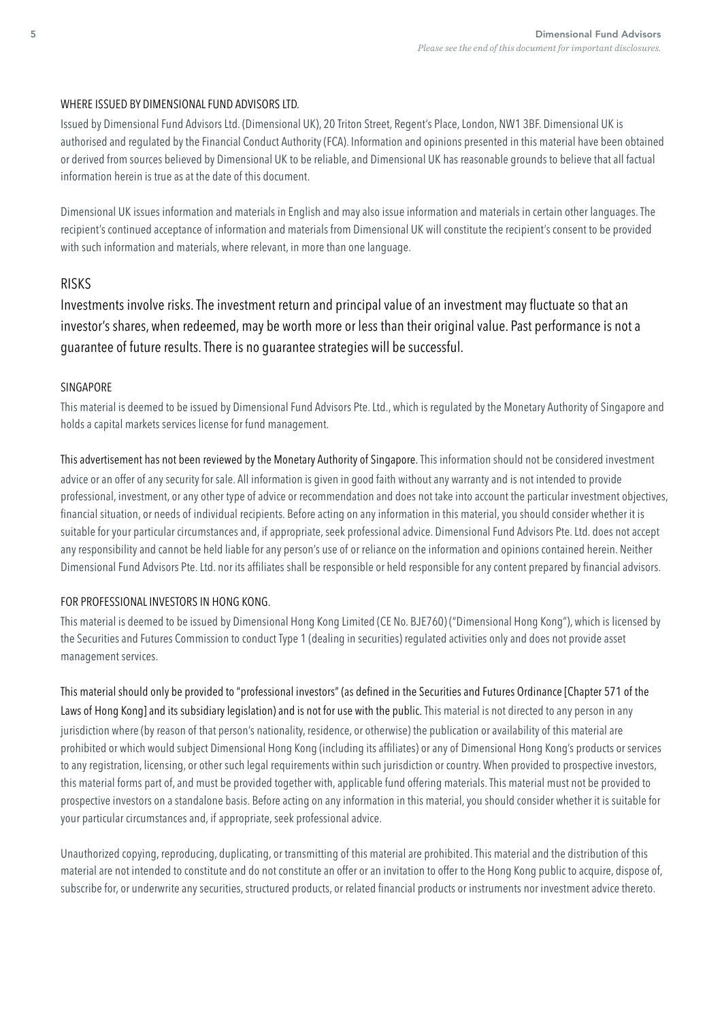#### WHERE ISSUED BY DIMENSIONAL FUND ADVISORS LTD.

Issued by Dimensional Fund Advisors Ltd. (Dimensional UK), 20 Triton Street, Regent's Place, London, NW1 3BF. Dimensional UK is authorised and regulated by the Financial Conduct Authority (FCA). Information and opinions presented in this material have been obtained or derived from sources believed by Dimensional UK to be reliable, and Dimensional UK has reasonable grounds to believe that all factual information herein is true as at the date of this document.

Dimensional UK issues information and materials in English and may also issue information and materials in certain other languages. The recipient's continued acceptance of information and materials from Dimensional UK will constitute the recipient's consent to be provided with such information and materials, where relevant, in more than one language.

## RISKS

Investments involve risks. The investment return and principal value of an investment may fuctuate so that an investor's shares, when redeemed, may be worth more or less than their original value. Past performance is not a guarantee of future results. There is no guarantee strategies will be successful.

#### SINGAPORE

This material is deemed to be issued by Dimensional Fund Advisors Pte. Ltd., which is regulated by the Monetary Authority of Singapore and holds a capital markets services license for fund management.

This advertisement has not been reviewed by the Monetary Authority of Singapore. This information should not be considered investment advice or an offer of any security for sale. All information is given in good faith without any warranty and is not intended to provide professional, investment, or any other type of advice or recommendation and does not take into account the particular investment objectives, fnancial situation, or needs of individual recipients. Before acting on any information in this material, you should consider whether it is suitable for your particular circumstances and, if appropriate, seek professional advice. Dimensional Fund Advisors Pte. Ltd. does not accept any responsibility and cannot be held liable for any person's use of or reliance on the information and opinions contained herein. Neither Dimensional Fund Advisors Pte. Ltd. nor its affliates shall be responsible or held responsible for any content prepared by fnancial advisors.

### FOR PROFESSIONAL INVESTORS IN HONG KONG.

This material is deemed to be issued by Dimensional Hong Kong Limited (CE No. BJE760) ("Dimensional Hong Kong"), which is licensed by the Securities and Futures Commission to conduct Type 1 (dealing in securities) regulated activities only and does not provide asset management services.

This material should only be provided to "professional investors" (as defined in the Securities and Futures Ordinance [Chapter 571 of the Laws of Hong Kong] and its subsidiary legislation) and is not for use with the public. This material is not directed to any person in any jurisdiction where (by reason of that person's nationality, residence, or otherwise) the publication or availability of this material are prohibited or which would subject Dimensional Hong Kong (including its affliates) or any of Dimensional Hong Kong's products or services to any registration, licensing, or other such legal requirements within such jurisdiction or country. When provided to prospective investors, this material forms part of, and must be provided together with, applicable fund offering materials. This material must not be provided to prospective investors on a standalone basis. Before acting on any information in this material, you should consider whether it is suitable for your particular circumstances and, if appropriate, seek professional advice.

Unauthorized copying, reproducing, duplicating, or transmitting of this material are prohibited. This material and the distribution of this material are not intended to constitute and do not constitute an offer or an invitation to offer to the Hong Kong public to acquire, dispose of, subscribe for, or underwrite any securities, structured products, or related fnancial products or instruments nor investment advice thereto.